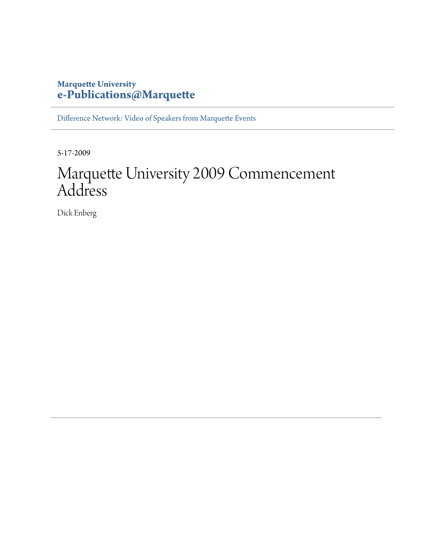## **Marquette University [e-Publications@Marquette](http://epublications.marquette.edu)**

[Difference Network: Video of Speakers from Marquette Events](http://epublications.marquette.edu/difference)

5-17-2009

## Marquette University 2009 Commencement Address

Dick Enberg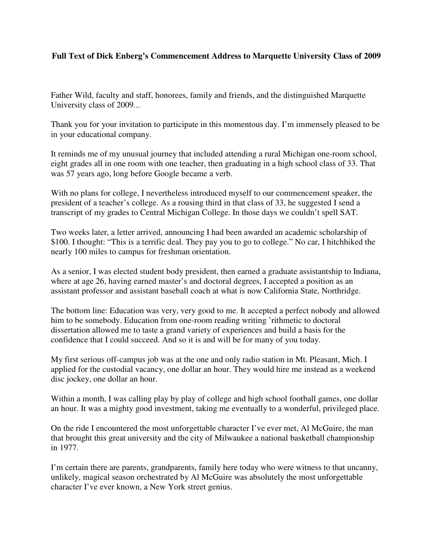## **Full Text of Dick Enberg's Commencement Address to Marquette University Class of 2009**

Father Wild, faculty and staff, honorees, family and friends, and the distinguished Marquette University class of 2009...

Thank you for your invitation to participate in this momentous day. I'm immensely pleased to be in your educational company.

It reminds me of my unusual journey that included attending a rural Michigan one-room school, eight grades all in one room with one teacher, then graduating in a high school class of 33. That was 57 years ago, long before Google became a verb.

With no plans for college, I nevertheless introduced myself to our commencement speaker, the president of a teacher's college. As a rousing third in that class of 33, he suggested I send a transcript of my grades to Central Michigan College. In those days we couldn't spell SAT.

Two weeks later, a letter arrived, announcing I had been awarded an academic scholarship of \$100. I thought: "This is a terrific deal. They pay you to go to college." No car, I hitchhiked the nearly 100 miles to campus for freshman orientation.

As a senior, I was elected student body president, then earned a graduate assistantship to Indiana, where at age 26, having earned master's and doctoral degrees, I accepted a position as an assistant professor and assistant baseball coach at what is now California State, Northridge.

The bottom line: Education was very, very good to me. It accepted a perfect nobody and allowed him to be somebody. Education from one-room reading writing 'rithmetic to doctoral dissertation allowed me to taste a grand variety of experiences and build a basis for the confidence that I could succeed. And so it is and will be for many of you today.

My first serious off-campus job was at the one and only radio station in Mt. Pleasant, Mich. I applied for the custodial vacancy, one dollar an hour. They would hire me instead as a weekend disc jockey, one dollar an hour.

Within a month, I was calling play by play of college and high school football games, one dollar an hour. It was a mighty good investment, taking me eventually to a wonderful, privileged place.

On the ride I encountered the most unforgettable character I've ever met, Al McGuire, the man that brought this great university and the city of Milwaukee a national basketball championship in 1977.

I'm certain there are parents, grandparents, family here today who were witness to that uncanny, unlikely, magical season orchestrated by Al McGuire was absolutely the most unforgettable character I've ever known, a New York street genius.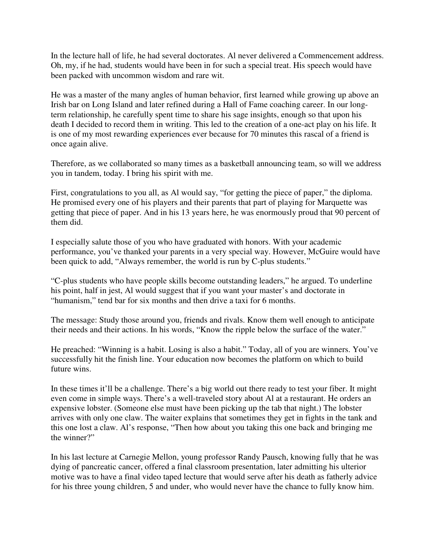In the lecture hall of life, he had several doctorates. Al never delivered a Commencement address. Oh, my, if he had, students would have been in for such a special treat. His speech would have been packed with uncommon wisdom and rare wit.

He was a master of the many angles of human behavior, first learned while growing up above an Irish bar on Long Island and later refined during a Hall of Fame coaching career. In our longterm relationship, he carefully spent time to share his sage insights, enough so that upon his death I decided to record them in writing. This led to the creation of a one-act play on his life. It is one of my most rewarding experiences ever because for 70 minutes this rascal of a friend is once again alive.

Therefore, as we collaborated so many times as a basketball announcing team, so will we address you in tandem, today. I bring his spirit with me.

First, congratulations to you all, as Al would say, "for getting the piece of paper," the diploma. He promised every one of his players and their parents that part of playing for Marquette was getting that piece of paper. And in his 13 years here, he was enormously proud that 90 percent of them did.

I especially salute those of you who have graduated with honors. With your academic performance, you've thanked your parents in a very special way. However, McGuire would have been quick to add, "Always remember, the world is run by C-plus students."

"C-plus students who have people skills become outstanding leaders," he argued. To underline his point, half in jest, Al would suggest that if you want your master's and doctorate in "humanism," tend bar for six months and then drive a taxi for 6 months.

The message: Study those around you, friends and rivals. Know them well enough to anticipate their needs and their actions. In his words, "Know the ripple below the surface of the water."

He preached: "Winning is a habit. Losing is also a habit." Today, all of you are winners. You've successfully hit the finish line. Your education now becomes the platform on which to build future wins.

In these times it'll be a challenge. There's a big world out there ready to test your fiber. It might even come in simple ways. There's a well-traveled story about Al at a restaurant. He orders an expensive lobster. (Someone else must have been picking up the tab that night.) The lobster arrives with only one claw. The waiter explains that sometimes they get in fights in the tank and this one lost a claw. Al's response, "Then how about you taking this one back and bringing me the winner?"

In his last lecture at Carnegie Mellon, young professor Randy Pausch, knowing fully that he was dying of pancreatic cancer, offered a final classroom presentation, later admitting his ulterior motive was to have a final video taped lecture that would serve after his death as fatherly advice for his three young children, 5 and under, who would never have the chance to fully know him.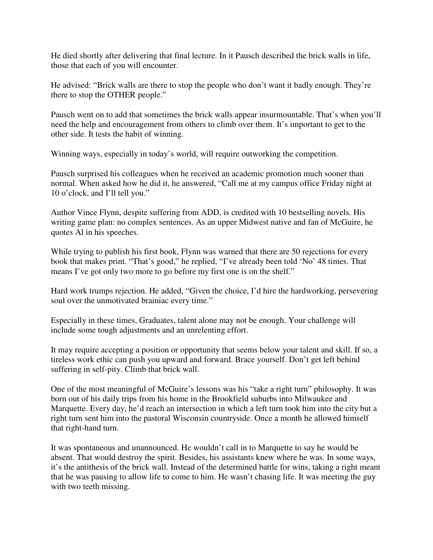He died shortly after delivering that final lecture. In it Pausch described the brick walls in life, those that each of you will encounter.

He advised: "Brick walls are there to stop the people who don't want it badly enough. They're there to stop the OTHER people."

Pausch went on to add that sometimes the brick walls appear insurmountable. That's when you'll need the help and encouragement from others to climb over them. It's important to get to the other side. It tests the habit of winning.

Winning ways, especially in today's world, will require outworking the competition.

Pausch surprised his colleagues when he received an academic promotion much sooner than normal. When asked how he did it, he answered, "Call me at my campus office Friday night at 10 o'clock, and I'll tell you."

Author Vince Flynn, despite suffering from ADD, is credited with 10 bestselling novels. His writing game plan: no complex sentences. As an upper Midwest native and fan of McGuire, he quotes Al in his speeches.

While trying to publish his first book, Flynn was warned that there are 50 rejections for every book that makes print. "That's good," he replied, "I've already been told 'No' 48 times. That means I've got only two more to go before my first one is on the shelf."

Hard work trumps rejection. He added, "Given the choice, I'd hire the hardworking, persevering soul over the unmotivated brainiac every time."

Especially in these times, Graduates, talent alone may not be enough. Your challenge will include some tough adjustments and an unrelenting effort.

It may require accepting a position or opportunity that seems below your talent and skill. If so, a tireless work ethic can push you upward and forward. Brace yourself. Don't get left behind suffering in self-pity. Climb that brick wall.

One of the most meaningful of McGuire's lessons was his "take a right turn" philosophy. It was born out of his daily trips from his home in the Brookfield suburbs into Milwaukee and Marquette. Every day, he'd reach an intersection in which a left turn took him into the city but a right turn sent him into the pastoral Wisconsin countryside. Once a month he allowed himself that right-hand turn.

It was spontaneous and unannounced. He wouldn't call in to Marquette to say he would be absent. That would destroy the spirit. Besides, his assistants knew where he was. In some ways, it's the antithesis of the brick wall. Instead of the determined battle for wins, taking a right meant that he was pausing to allow life to come to him. He wasn't chasing life. It was meeting the guy with two teeth missing.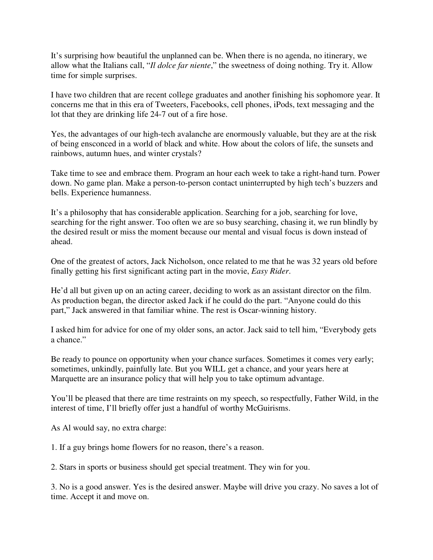It's surprising how beautiful the unplanned can be. When there is no agenda, no itinerary, we allow what the Italians call, "*Il dolce far niente*," the sweetness of doing nothing. Try it. Allow time for simple surprises.

I have two children that are recent college graduates and another finishing his sophomore year. It concerns me that in this era of Tweeters, Facebooks, cell phones, iPods, text messaging and the lot that they are drinking life 24-7 out of a fire hose.

Yes, the advantages of our high-tech avalanche are enormously valuable, but they are at the risk of being ensconced in a world of black and white. How about the colors of life, the sunsets and rainbows, autumn hues, and winter crystals?

Take time to see and embrace them. Program an hour each week to take a right-hand turn. Power down. No game plan. Make a person-to-person contact uninterrupted by high tech's buzzers and bells. Experience humanness.

It's a philosophy that has considerable application. Searching for a job, searching for love, searching for the right answer. Too often we are so busy searching, chasing it, we run blindly by the desired result or miss the moment because our mental and visual focus is down instead of ahead.

One of the greatest of actors, Jack Nicholson, once related to me that he was 32 years old before finally getting his first significant acting part in the movie, *Easy Rider*.

He'd all but given up on an acting career, deciding to work as an assistant director on the film. As production began, the director asked Jack if he could do the part. "Anyone could do this part," Jack answered in that familiar whine. The rest is Oscar-winning history.

I asked him for advice for one of my older sons, an actor. Jack said to tell him, "Everybody gets a chance."

Be ready to pounce on opportunity when your chance surfaces. Sometimes it comes very early; sometimes, unkindly, painfully late. But you WILL get a chance, and your years here at Marquette are an insurance policy that will help you to take optimum advantage.

You'll be pleased that there are time restraints on my speech, so respectfully, Father Wild, in the interest of time, I'll briefly offer just a handful of worthy McGuirisms.

As Al would say, no extra charge:

1. If a guy brings home flowers for no reason, there's a reason.

2. Stars in sports or business should get special treatment. They win for you.

3. No is a good answer. Yes is the desired answer. Maybe will drive you crazy. No saves a lot of time. Accept it and move on.